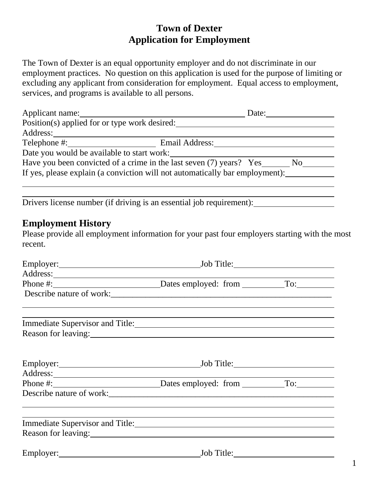# **Town of Dexter Application for Employment**

The Town of Dexter is an equal opportunity employer and do not discriminate in our employment practices. No question on this application is used for the purpose of limiting or excluding any applicant from consideration for employment. Equal access to employment, services, and programs is available to all persons.

| Applicant name:                                                              |                | Date: |     |
|------------------------------------------------------------------------------|----------------|-------|-----|
| Position(s) applied for or type work desired:                                |                |       |     |
| Address:                                                                     |                |       |     |
| Telephone #:                                                                 | Email Address: |       |     |
| Date you would be available to start work:                                   |                |       |     |
| Have you been convicted of a crime in the last seven (7) years? Yes          |                |       | No. |
| If yes, please explain (a conviction will not automatically bar employment): |                |       |     |
|                                                                              |                |       |     |

Drivers license number (if driving is an essential job requirement): \_\_\_\_\_\_\_\_\_\_\_\_

### **Employment History**

Please provide all employment information for your past four employers starting with the most recent.

|                                                                                                                                                                                                                                      | Job Title: 2008 |  |
|--------------------------------------------------------------------------------------------------------------------------------------------------------------------------------------------------------------------------------------|-----------------|--|
| Address: 1000 million and the contract of the contract of the contract of the contract of the contract of the contract of the contract of the contract of the contract of the contract of the contract of the contract of the        |                 |  |
|                                                                                                                                                                                                                                      |                 |  |
|                                                                                                                                                                                                                                      |                 |  |
|                                                                                                                                                                                                                                      |                 |  |
| Reason for leaving:                                                                                                                                                                                                                  |                 |  |
|                                                                                                                                                                                                                                      |                 |  |
| Address: <u>and the set of the set of the set of the set of the set of the set of the set of the set of the set of the set of the set of the set of the set of the set of the set of the set of the set of the set of the set of</u> |                 |  |
|                                                                                                                                                                                                                                      |                 |  |
|                                                                                                                                                                                                                                      |                 |  |
| Immediate Supervisor and Title: 1988 and 2008                                                                                                                                                                                        |                 |  |
| Reason for leaving: 1997 and 1997 and 1997 and 1997 and 1997 and 1997 and 1997 and 1997 and 1997 and 1997 and 1997 and 1997 and 1997 and 1997 and 1997 and 1997 and 1997 and 1997 and 1997 and 1997 and 1997 and 1997 and 1997       |                 |  |
| Employer: Employer:                                                                                                                                                                                                                  |                 |  |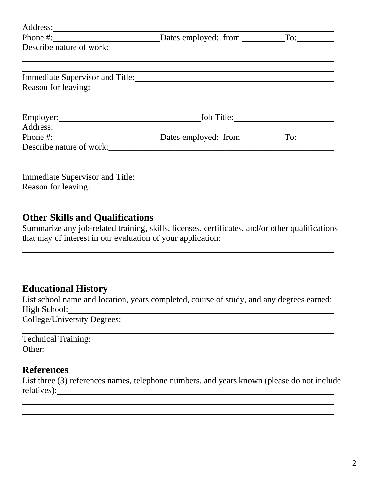| Phone $\#$ :                                    | Dates employed: from To: |  |
|-------------------------------------------------|--------------------------|--|
|                                                 |                          |  |
|                                                 |                          |  |
| Immediate Supervisor and Title: 1998 and Titles |                          |  |
| Reason for leaving:                             |                          |  |
|                                                 |                          |  |
|                                                 |                          |  |
|                                                 |                          |  |
| Phone #: Dates employed: from To:               |                          |  |
|                                                 |                          |  |
|                                                 |                          |  |
|                                                 |                          |  |
| Immediate Supervisor and Title:                 |                          |  |
| Reason for leaving:                             |                          |  |

#### **Other Skills and Qualifications**

Summarize any job-related training, skills, licenses, certificates, and/or other qualifications that may of interest in our evaluation of your application:

# **Educational History**

List school name and location, years completed, course of study, and any degrees earned: High School: College/University Degrees:

| Technical Training: |  |  |
|---------------------|--|--|
| Other:              |  |  |

#### **References**

List three (3) references names, telephone numbers, and years known (please do not include relatives): <u>contract the contract of the contract of the contract of the contract of the contract of the contract of the contract of the contract of the contract of the contract of the contract of the contract of the cont</u>